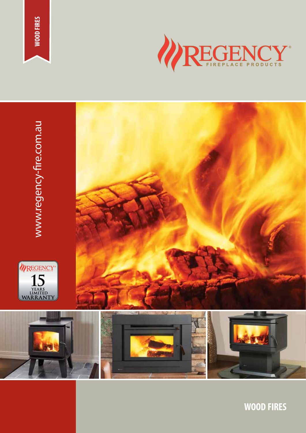





**WOOD FIRES**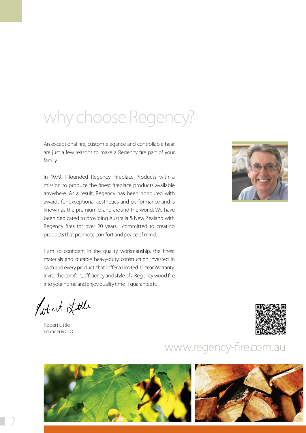# why choose Regency?

An exceptional fire, custom elegance and controllable heat are just a few reasons to make a Regency fire part of your family.

In 1979, I founded Regency Fireplace Products with a mission to produce the finest fireplace products available anywhere. As a result, Regency has been honoured with awards for exceptional aesthetics and performance and is known as the premium brand around the world. We have been dedicated to providing Australia & New Zealand with Regency fires for over 20 years: committed to creating products that promote comfort and peace of mind.

I am so confident in the quality workmanship, the finest materials and durable heavy-duty construction invested in each and every product, that I offer a Limited 15 Year Warranty. Invite the comfort, efficiency and style of a Regency wood fire into your home and enjoy quality time - I guarantee it.

Robert Little

Robert Little Founder & CEO



### www.regency-fire.com.au



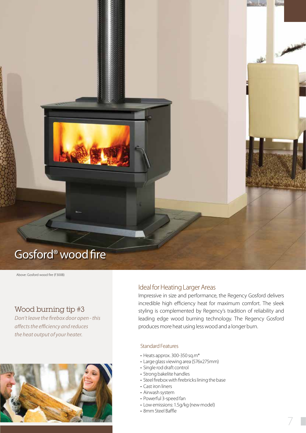## Gosford® wood fire

Above: Gosford wood fire (F300B)

### Wood burning tip #3

*Don't leave the firebox door open - this affects the efficiency and reduces the heat output of your heater.*



### Ideal for Heating Larger Areas

Impressive in size and performance, the Regency Gosford delivers incredible high efficiency heat for maximum comfort. The sleek styling is complemented by Regency's tradition of reliability and leading edge wood burning technology. The Regency Gosford produces more heat using less wood and a longer burn.

### Standard Features

- Heats approx. 300-350 sq.m\*
- Large glass viewing area (576x275mm)
- Single rod draft control
- Strong bakelite handles
- Steel firebox with firebricks lining the base
- Cast iron liners
- Airwash system
- Powerful 3-speed fan
- Low emissions: 1.5g/kg (new model)
- 8mm Steel Baffle

المعرد

**REA**